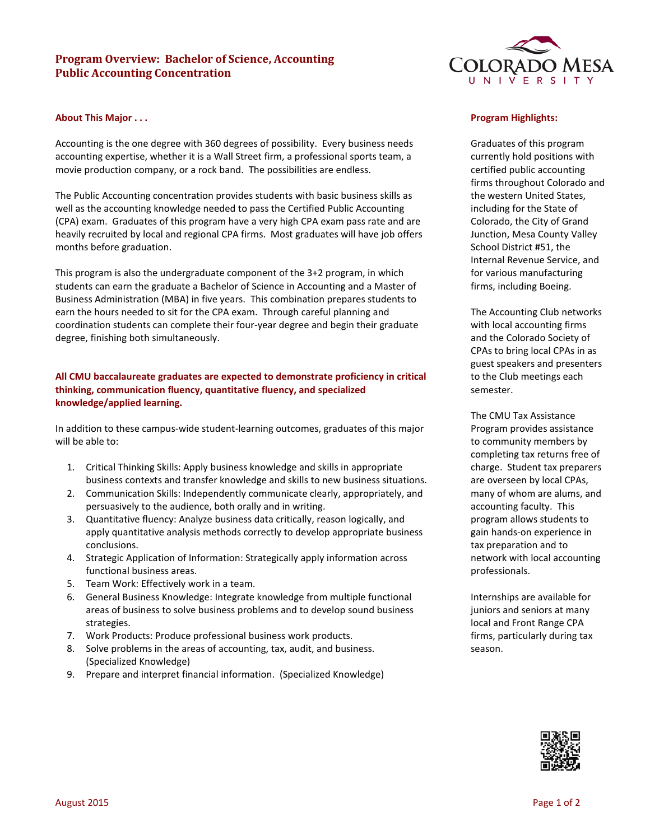# **Program Overview: Bachelor of Science, Accounting Public Accounting Concentration**

### **About This Major . . .**

Accounting is the one degree with 360 degrees of possibility. Every business needs accounting expertise, whether it is a Wall Street firm, a professional sports team, a movie production company, or a rock band. The possibilities are endless.

The Public Accounting concentration provides students with basic business skills as well as the accounting knowledge needed to pass the Certified Public Accounting (CPA) exam. Graduates of this program have a very high CPA exam pass rate and are heavily recruited by local and regional CPA firms. Most graduates will have job offers months before graduation.

This program is also the undergraduate component of the 3+2 program, in which students can earn the graduate a Bachelor of Science in Accounting and a Master of Business Administration (MBA) in five years. This combination prepares students to earn the hours needed to sit for the CPA exam. Through careful planning and coordination students can complete their four-year degree and begin their graduate degree, finishing both simultaneously.

## **All CMU baccalaureate graduates are expected to demonstrate proficiency in critical thinking, communication fluency, quantitative fluency, and specialized knowledge/applied learning.**

In addition to these campus-wide student-learning outcomes, graduates of this major will be able to:

- 1. Critical Thinking Skills: Apply business knowledge and skills in appropriate business contexts and transfer knowledge and skills to new business situations.
- 2. Communication Skills: Independently communicate clearly, appropriately, and persuasively to the audience, both orally and in writing.
- 3. Quantitative fluency: Analyze business data critically, reason logically, and apply quantitative analysis methods correctly to develop appropriate business conclusions.
- 4. Strategic Application of Information: Strategically apply information across functional business areas.
- 5. Team Work: Effectively work in a team.
- 6. General Business Knowledge: Integrate knowledge from multiple functional areas of business to solve business problems and to develop sound business strategies.
- 7. Work Products: Produce professional business work products.
- 8. Solve problems in the areas of accounting, tax, audit, and business. (Specialized Knowledge)
- 9. Prepare and interpret financial information. (Specialized Knowledge)



### **Program Highlights:**

Graduates of this program currently hold positions with certified public accounting firms throughout Colorado and the western United States, including for the State of Colorado, the City of Grand Junction, Mesa County Valley School District #51, the Internal Revenue Service, and for various manufacturing firms, including Boeing.

The Accounting Club networks with local accounting firms and the Colorado Society of CPAs to bring local CPAs in as guest speakers and presenters to the Club meetings each semester.

The CMU Tax Assistance Program provides assistance to community members by completing tax returns free of charge. Student tax preparers are overseen by local CPAs, many of whom are alums, and accounting faculty. This program allows students to gain hands-on experience in tax preparation and to network with local accounting professionals.

Internships are available for juniors and seniors at many local and Front Range CPA firms, particularly during tax season.